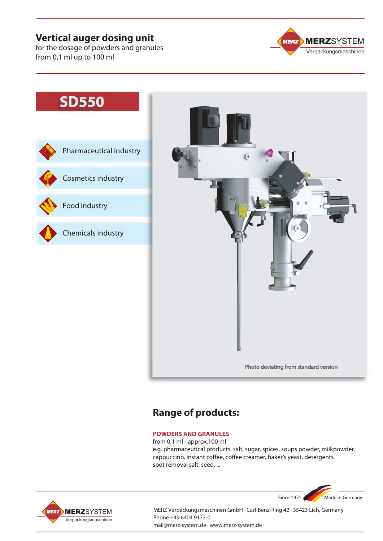# **Vertical auger dosing unit**

for the dosage of powders and granules from 0,1 ml up to 100 ml



# **SD550**





# **Range of products:**

#### **POWDERS AND GRANULES**

from 0,1 ml - approx.100 ml e.g. pharmaceutical products, salt, sugar, spices, soups powder, milkpowder, cappuccino, instant coffee, coffee creamer, baker's yeast, detergents, spot removal salt, seed, ...





MERZ Verpackungsmaschinen GmbH · Carl-Benz-Ring 42 · 35423 Lich, Germany Phone +49 6404 9172-0 mail@merz-system.de · www.merz-system.de